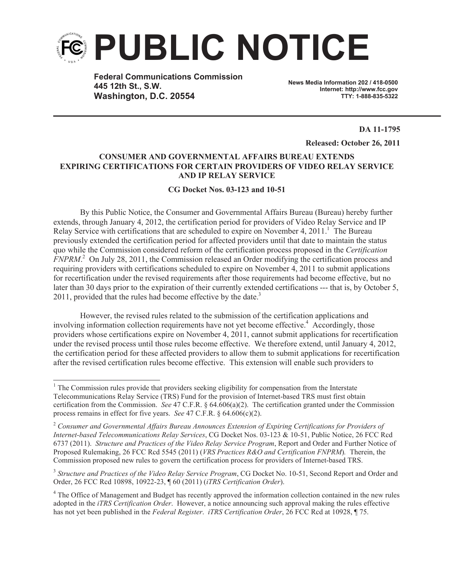

**Federal Communications Commission 445 12th St., S.W. Washington, D.C. 20554**

**News Media Information 202 / 418-0500 Internet: http://www.fcc.gov TTY: 1-888-835-5322**

**DA 11-1795**

**Released: October 26, 2011**

## **CONSUMER AND GOVERNMENTAL AFFAIRS BUREAU EXTENDS EXPIRING CERTIFICATIONS FOR CERTAIN PROVIDERS OF VIDEO RELAY SERVICE AND IP RELAY SERVICE**

## **CG Docket Nos. 03-123 and 10-51**

By this Public Notice, the Consumer and Governmental Affairs Bureau (Bureau) hereby further extends, through January 4, 2012, the certification period for providers of Video Relay Service and IP Relay Service with certifications that are scheduled to expire on November 4, 2011.<sup>1</sup> The Bureau previously extended the certification period for affected providers until that date to maintain the status quo while the Commission considered reform of the certification process proposed in the *Certification FNPRM*. <sup>2</sup> On July 28, 2011, the Commission released an Order modifying the certification process and requiring providers with certifications scheduled to expire on November 4, 2011 to submit applications for recertification under the revised requirements after those requirements had become effective, but no later than 30 days prior to the expiration of their currently extended certifications --- that is, by October 5, 2011, provided that the rules had become effective by the date. $3$ 

However, the revised rules related to the submission of the certification applications and involving information collection requirements have not yet become effective.<sup>4</sup> Accordingly, those providers whose certifications expire on November 4, 2011, cannot submit applications for recertification under the revised process until those rules become effective. We therefore extend, until January 4, 2012, the certification period for these affected providers to allow them to submit applications for recertification after the revised certification rules become effective. This extension will enable such providers to

<sup>&</sup>lt;sup>1</sup> The Commission rules provide that providers seeking eligibility for compensation from the Interstate Telecommunications Relay Service (TRS) Fund for the provision of Internet-based TRS must first obtain certification from the Commission. *See* 47 C.F.R. § 64.606(a)(2). The certification granted under the Commission process remains in effect for five years. *See* 47 C.F.R. § 64.606(c)(2).

<sup>2</sup> *Consumer and Governmental Affairs Bureau Announces Extension of Expiring Certifications for Providers of Internet-based Telecommunications Relay Services*, CG Docket Nos. 03-123 & 10-51, Public Notice, 26 FCC Rcd 6737 (2011). *Structure and Practices of the Video Relay Service Program*, Report and Order and Further Notice of Proposed Rulemaking, 26 FCC Rcd 5545 (2011) (*VRS Practices R&O and Certification FNPRM*)*.* Therein, the Commission proposed new rules to govern the certification process for providers of Internet-based TRS.

<sup>&</sup>lt;sup>3</sup> Structure and Practices of the Video Relay Service Program, CG Docket No. 10-51, Second Report and Order and Order, 26 FCC Rcd 10898, 10922-23, ¶ 60 (2011) (*iTRS Certification Order*).

<sup>&</sup>lt;sup>4</sup> The Office of Management and Budget has recently approved the information collection contained in the new rules adopted in the *iTRS Certification Order*. However, a notice announcing such approval making the rules effective has not yet been published in the *Federal Register*. *iTRS Certification Order*, 26 FCC Rcd at 10928, ¶ 75.